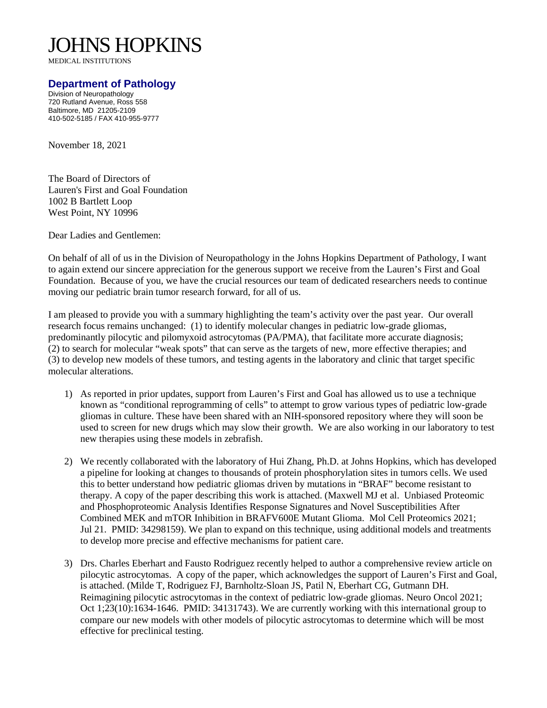## JOHNS HOPKINS

MEDICAL INSTITUTIONS

## **Department of Pathology**

Division of Neuropathology 720 Rutland Avenue, Ross 558 Baltimore, MD 21205-2109 410-502-5185 / FAX 410-955-9777

November 18, 2021

The Board of Directors of Lauren's First and Goal Foundation 1002 B Bartlett Loop West Point, NY 10996

Dear Ladies and Gentlemen:

On behalf of all of us in the Division of Neuropathology in the Johns Hopkins Department of Pathology, I want to again extend our sincere appreciation for the generous support we receive from the Lauren's First and Goal Foundation. Because of you, we have the crucial resources our team of dedicated researchers needs to continue moving our pediatric brain tumor research forward, for all of us.

I am pleased to provide you with a summary highlighting the team's activity over the past year. Our overall research focus remains unchanged: (1) to identify molecular changes in pediatric low-grade gliomas, predominantly pilocytic and pilomyxoid astrocytomas (PA/PMA), that facilitate more accurate diagnosis; (2) to search for molecular "weak spots" that can serve as the targets of new, more effective therapies; and (3) to develop new models of these tumors, and testing agents in the laboratory and clinic that target specific molecular alterations.

- 1) As reported in prior updates, support from Lauren's First and Goal has allowed us to use a technique known as "conditional reprogramming of cells" to attempt to grow various types of pediatric low-grade gliomas in culture. These have been shared with an NIH-sponsored repository where they will soon be used to screen for new drugs which may slow their growth. We are also working in our laboratory to test new therapies using these models in zebrafish.
- 2) We recently collaborated with the laboratory of Hui Zhang, Ph.D. at Johns Hopkins, which has developed a pipeline for looking at changes to thousands of protein phosphorylation sites in tumors cells. We used this to better understand how pediatric gliomas driven by mutations in "BRAF" become resistant to therapy. A copy of the paper describing this work is attached. (Maxwell MJ et al. Unbiased Proteomic and Phosphoproteomic Analysis Identifies Response Signatures and Novel Susceptibilities After Combined MEK and mTOR Inhibition in BRAFV600E Mutant Glioma. Mol Cell Proteomics 2021; Jul 21. PMID: 34298159). We plan to expand on this technique, using additional models and treatments to develop more precise and effective mechanisms for patient care.
- 3) Drs. Charles Eberhart and Fausto Rodriguez recently helped to author a comprehensive review article on pilocytic astrocytomas. A copy of the paper, which acknowledges the support of Lauren's First and Goal, is attached. (Milde T, Rodriguez FJ, Barnholtz-Sloan JS, Patil N, Eberhart CG, Gutmann DH. Reimagining pilocytic astrocytomas in the context of pediatric low-grade gliomas. Neuro Oncol 2021; Oct 1;23(10):1634-1646. PMID: 34131743). We are currently working with this international group to compare our new models with other models of pilocytic astrocytomas to determine which will be most effective for preclinical testing.